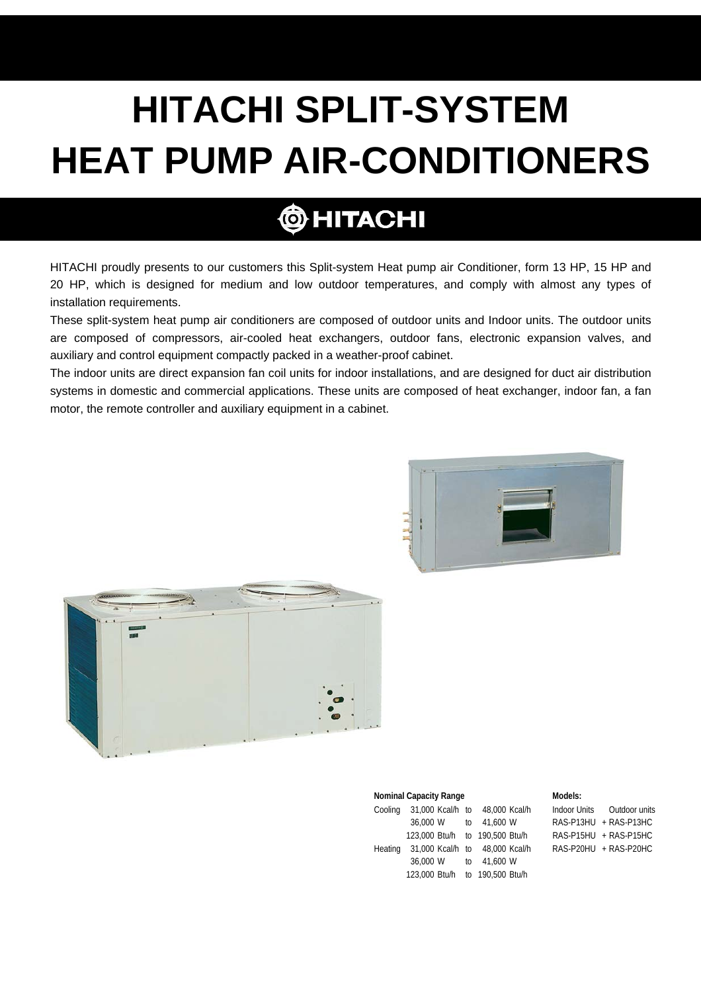# **HITACHI SPLIT-SYSTEM HEAT PUMP AIR-CONDITIONERS**

# **@HITACHI**

HITACHI proudly presents to our customers this Split-system Heat pump air Conditioner, form 13 HP, 15 HP and 20 HP, which is designed for medium and low outdoor temperatures, and comply with almost any types of installation requirements.

These split-system heat pump air conditioners are composed of outdoor units and Indoor units. The outdoor units are composed of compressors, air-cooled heat exchangers, outdoor fans, electronic expansion valves, and auxiliary and control equipment compactly packed in a weather-proof cabinet.

The indoor units are direct expansion fan coil units for indoor installations, and are designed for duct air distribution systems in domestic and commercial applications. These units are composed of heat exchanger, indoor fan, a fan motor, the remote controller and auxiliary equipment in a cabinet.





|         | <b>Nominal Capacity Range</b>  | Models:                        |  |                            |
|---------|--------------------------------|--------------------------------|--|----------------------------|
| Cooling |                                | 31,000 Kcal/h to 48,000 Kcal/h |  | Indoor Units Outdoor units |
|         | 36,000 W to 41,600 W           |                                |  | $RAS-P13HU + RAS-P13HC$    |
|         | 123,000 Btu/h to 190,500 Btu/h |                                |  | $RAS-P15HU + RAS-P15HC$    |
| Heating |                                | 31,000 Kcal/h to 48,000 Kcal/h |  | RAS-P20HU + RAS-P20HC      |
|         | 36,000 W to 41,600 W           |                                |  |                            |
|         | 123,000 Btu/h to 190,500 Btu/h |                                |  |                            |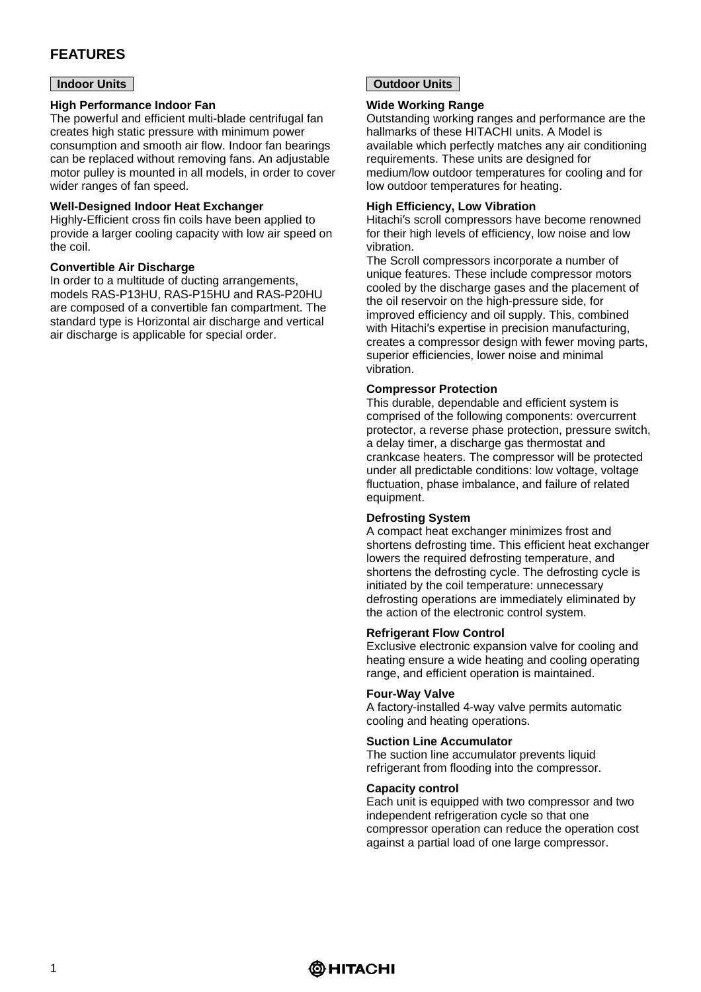# **FEATURES**

#### **Indoor Units**

#### **High Performance Indoor Fan**

The powerful and efficient multi-blade centrifugal fan creates high static pressure with minimum power consumption and smooth air flow. Indoor fan bearings can be replaced without removing fans. An adjustable motor pulley is mounted in all models, in order to cover wider ranges of fan speed.

#### **Well-Designed Indoor Heat Exchanger**

Highly-Efficient cross fin coils have been applied to provide a larger cooling capacity with low air speed on the coil.

#### **Convertible Air Discharge**

In order to a multitude of ducting arrangements, models RAS-P13HU, RAS-P15HU and RAS-P20HU are composed of a convertible fan compartment. The standard type is Horizontal air discharge and vertical air discharge is applicable for special order.

#### **Outdoor Units**

#### **Wide Working Range**

Outstanding working ranges and performance are the hallmarks of these HITACHI units. A Model is available which perfectly matches any air conditioning requirements. These units are designed for medium/low outdoor temperatures for cooling and for low outdoor temperatures for heating.

#### **High Efficiency, Low Vibration**

Hitachi′s scroll compressors have become renowned for their high levels of efficiency, low noise and low vibration.

The Scroll compressors incorporate a number of unique features. These include compressor motors cooled by the discharge gases and the placement of the oil reservoir on the high-pressure side, for improved efficiency and oil supply. This, combined with Hitachi′s expertise in precision manufacturing, creates a compressor design with fewer moving parts, superior efficiencies, lower noise and minimal vibration.

#### **Compressor Protection**

This durable, dependable and efficient system is comprised of the following components: overcurrent protector, a reverse phase protection, pressure switch, a delay timer, a discharge gas thermostat and crankcase heaters. The compressor will be protected under all predictable conditions: low voltage, voltage fluctuation, phase imbalance, and failure of related equipment.

#### **Defrosting System**

A compact heat exchanger minimizes frost and shortens defrosting time. This efficient heat exchanger lowers the required defrosting temperature, and shortens the defrosting cycle. The defrosting cycle is initiated by the coil temperature: unnecessary defrosting operations are immediately eliminated by the action of the electronic control system.

#### **Refrigerant Flow Control**

Exclusive electronic expansion valve for cooling and heating ensure a wide heating and cooling operating range, and efficient operation is maintained.

#### **Four-Way Valve**

A factory-installed 4-way valve permits automatic cooling and heating operations.

#### **Suction Line Accumulator**

The suction line accumulator prevents liquid refrigerant from flooding into the compressor.

#### **Capacity control**

Each unit is equipped with two compressor and two independent refrigeration cycle so that one compressor operation can reduce the operation cost against a partial load of one large compressor.

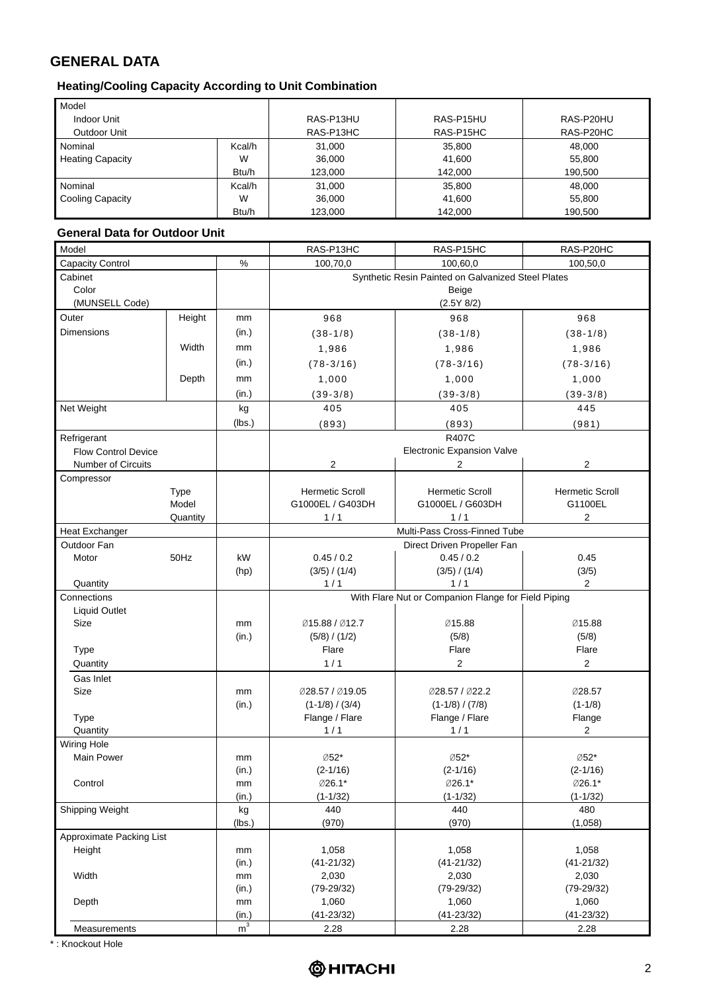# **GENERAL DATA**

### **Heating/Cooling Capacity According to Unit Combination**

| Model                   |        |           |           |           |
|-------------------------|--------|-----------|-----------|-----------|
| <b>Indoor Unit</b>      |        | RAS-P13HU | RAS-P15HU | RAS-P20HU |
| Outdoor Unit            |        | RAS-P13HC | RAS-P15HC | RAS-P20HC |
| Nominal                 | Kcal/h | 31.000    | 35.800    | 48.000    |
| <b>Heating Capacity</b> | W      | 36.000    | 41.600    | 55.800    |
|                         | Btu/h  | 123,000   | 142.000   | 190.500   |
| Nominal                 | Kcal/h | 31,000    | 35,800    | 48.000    |
| <b>Cooling Capacity</b> | W      | 36,000    | 41,600    | 55,800    |
|                         | Btu/h  | 123,000   | 142.000   | 190.500   |

#### **General Data for Outdoor Unit**

| Model                      |             |                | RAS-P13HC                                          | RAS-P15HC                                           | RAS-P20HC              |  |
|----------------------------|-------------|----------------|----------------------------------------------------|-----------------------------------------------------|------------------------|--|
| Capacity Control           |             | $\%$           | 100,70,0                                           | 100,60,0                                            | 100,50,0               |  |
| Cabinet                    |             |                | Synthetic Resin Painted on Galvanized Steel Plates |                                                     |                        |  |
| Color                      |             | Beige          |                                                    |                                                     |                        |  |
| (MUNSELL Code)             |             |                |                                                    | (2.5Y 8/2)                                          |                        |  |
| Outer                      | Height      | mm             | 968                                                | 968                                                 | 968                    |  |
| <b>Dimensions</b>          |             | (in.)          | $(38-1/8)$                                         | $(38-1/8)$                                          | $(38-1/8)$             |  |
|                            | Width       | mm             | 1,986                                              | 1,986                                               | 1,986                  |  |
|                            |             | (in.)          | $(78-3/16)$                                        | $(78-3/16)$                                         | $(78-3/16)$            |  |
|                            | Depth       | mm             |                                                    |                                                     |                        |  |
|                            |             |                | 1,000                                              | 1,000                                               | 1,000                  |  |
|                            |             | (in.)          | $(39-3/8)$                                         | $(39-3/8)$                                          | $(39-3/8)$             |  |
| Net Weight                 |             | kg             | 405                                                | 405                                                 | 445                    |  |
|                            |             | (lbs.)         | (893)                                              | (893)                                               | (981)                  |  |
| Refrigerant                |             |                |                                                    | <b>R407C</b>                                        |                        |  |
| <b>Flow Control Device</b> |             |                |                                                    | <b>Electronic Expansion Valve</b>                   |                        |  |
| <b>Number of Circuits</b>  |             |                | 2                                                  | 2                                                   | 2                      |  |
| Compressor                 |             |                |                                                    |                                                     |                        |  |
|                            | <b>Type</b> |                | <b>Hermetic Scroll</b>                             | <b>Hermetic Scroll</b>                              | <b>Hermetic Scroll</b> |  |
|                            | Model       |                | G1000EL / G403DH                                   | G1000EL / G603DH                                    | G1100EL                |  |
|                            | Quantity    |                | 1/1                                                | 1/1                                                 | $\overline{2}$         |  |
| <b>Heat Exchanger</b>      |             |                |                                                    | Multi-Pass Cross-Finned Tube                        |                        |  |
| Outdoor Fan                |             |                |                                                    | Direct Driven Propeller Fan                         |                        |  |
| Motor                      | 50Hz        | kW             | 0.45 / 0.2                                         | 0.45 / 0.2                                          | 0.45                   |  |
|                            |             | (hp)           | (3/5) / (1/4)                                      | (3/5) / (1/4)                                       | (3/5)                  |  |
| Quantity                   |             |                | 1/1                                                | 1/1                                                 | $\overline{2}$         |  |
| Connections                |             |                |                                                    | With Flare Nut or Companion Flange for Field Piping |                        |  |
| <b>Liquid Outlet</b>       |             |                |                                                    |                                                     |                        |  |
| Size                       |             | mm             | Ø15.88 / Ø12.7                                     | Ø15.88                                              | Ø15.88                 |  |
| Type                       |             | (in.)          | (5/8) / (1/2)<br>Flare                             | (5/8)<br>Flare                                      | (5/8)<br>Flare         |  |
| Quantity                   |             |                | 1/1                                                | $\overline{c}$                                      | $\overline{2}$         |  |
|                            |             |                |                                                    |                                                     |                        |  |
| Gas Inlet                  |             |                |                                                    |                                                     |                        |  |
| Size                       |             | mm             | Ø28.57 / Ø19.05                                    | Ø28.57 / Ø22.2                                      | Ø28.57<br>$(1-1/8)$    |  |
| Type                       |             | (in.)          | $(1-1/8) / (3/4)$<br>Flange / Flare                | $(1-1/8) / (7/8)$<br>Flange / Flare                 | Flange                 |  |
| Quantity                   |             |                | 1/1                                                | 1/1                                                 | $\overline{2}$         |  |
| Wiring Hole                |             |                |                                                    |                                                     |                        |  |
| <b>Main Power</b>          |             | mm             | Ø52*                                               | Ø52*                                                | Ø52*                   |  |
|                            |             | (in.)          | $(2-1/16)$                                         | $(2-1/16)$                                          | $(2-1/16)$             |  |
| Control                    |             | mm             | Ø26.1*                                             | Ø26.1*                                              | Ø26.1*                 |  |
|                            |             | (in.)          | $(1-1/32)$                                         | $(1-1/32)$                                          | $(1 - 1/32)$           |  |
| Shipping Weight            |             | kg             | 440                                                | 440                                                 | 480                    |  |
|                            |             | (lbs.)         | (970)                                              | (970)                                               | (1,058)                |  |
| Approximate Packing List   |             |                |                                                    |                                                     |                        |  |
| Height                     |             | mm             | 1,058                                              | 1,058                                               | 1,058                  |  |
|                            |             | (in.)          | $(41 - 21/32)$                                     | $(41 - 21/32)$                                      | $(41 - 21/32)$         |  |
| Width                      |             | mm             | 2,030                                              | 2,030                                               | 2,030                  |  |
|                            |             | (in.)          | $(79-29/32)$                                       | $(79-29/32)$                                        | $(79-29/32)$           |  |
| Depth                      |             | mm             | 1,060                                              | 1,060                                               | 1,060                  |  |
|                            |             | (in.)          | $(41 - 23/32)$                                     | $(41 - 23/32)$                                      | $(41 - 23/32)$         |  |
| Measurements               |             | m <sup>3</sup> | 2.28                                               | 2.28                                                | 2.28                   |  |

\* : Knockout Hole

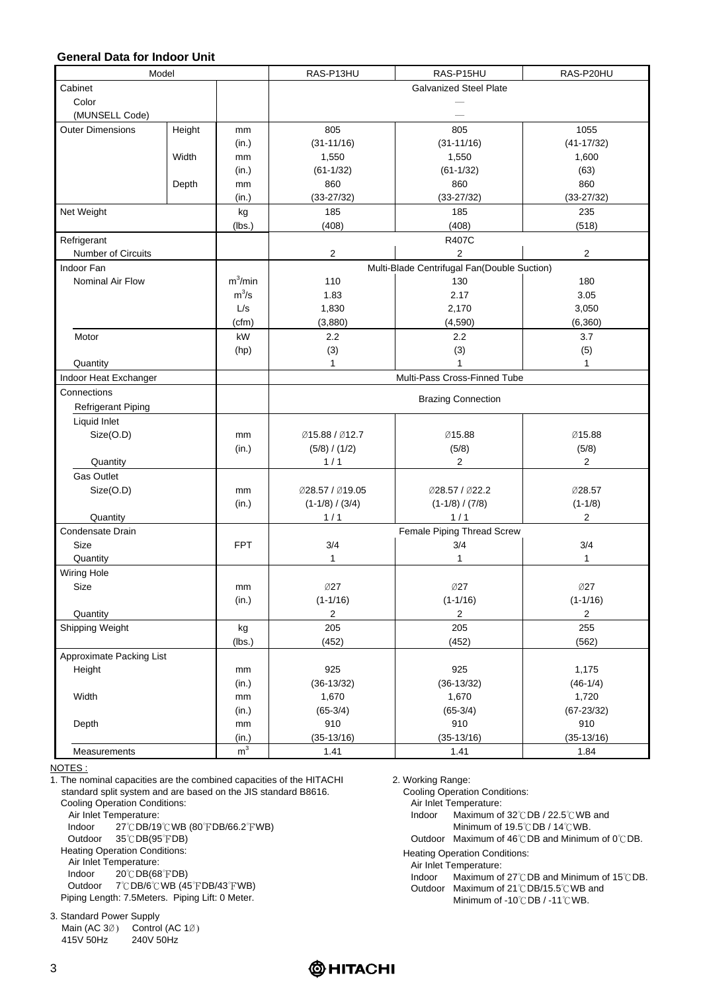#### **General Data for Indoor Unit**

| Model                    |        |                | RAS-P13HU<br>RAS-P15HU<br>RAS-P20HU                         |                                             |                |  |
|--------------------------|--------|----------------|-------------------------------------------------------------|---------------------------------------------|----------------|--|
| Cabinet                  |        |                |                                                             | <b>Galvanized Steel Plate</b>               |                |  |
| Color                    |        |                |                                                             |                                             |                |  |
| (MUNSELL Code)           |        |                |                                                             |                                             |                |  |
| <b>Outer Dimensions</b>  | Height | mm             | 805                                                         | 805                                         | 1055           |  |
|                          |        | (in.)          | $(31 - 11/16)$                                              | $(31 - 11/16)$                              | $(41 - 17/32)$ |  |
|                          | Width  | mm             | 1,550                                                       | 1,550                                       | 1,600          |  |
|                          |        | (in.)          | $(61-1/32)$                                                 | $(61-1/32)$                                 | (63)           |  |
|                          | Depth  | mm             | 860                                                         | 860                                         | 860            |  |
|                          |        | (in.)          | $(33 - 27/32)$                                              | $(33 - 27/32)$                              | $(33 - 27/32)$ |  |
| Net Weight               |        | kg             | 185                                                         | 185                                         | 235            |  |
|                          |        | (lbs.)         | (408)                                                       | (408)                                       | (518)          |  |
| Refrigerant              |        |                | R407C                                                       |                                             |                |  |
| Number of Circuits       |        |                | $\overline{\mathbf{c}}$<br>$\overline{2}$<br>$\overline{2}$ |                                             |                |  |
| Indoor Fan               |        |                |                                                             | Multi-Blade Centrifugal Fan(Double Suction) |                |  |
| Nominal Air Flow         |        | $m^3/m$ in     | 110                                                         | 130                                         | 180            |  |
|                          |        | $m^3/s$        | 1.83                                                        | 2.17                                        | 3.05           |  |
|                          |        | L/s            |                                                             | 2,170                                       | 3,050          |  |
|                          |        |                | 1,830                                                       |                                             |                |  |
|                          |        | (cfm)          | (3,880)                                                     | (4,590)                                     | (6, 360)       |  |
| Motor                    |        | kW             | 2.2                                                         | 2.2                                         | 3.7            |  |
|                          |        | (hp)           | (3)                                                         | (3)                                         | (5)            |  |
| Quantity                 |        |                | $\mathbf{1}$                                                |                                             | 1              |  |
| Indoor Heat Exchanger    |        |                | Multi-Pass Cross-Finned Tube                                |                                             |                |  |
| Connections              |        |                | <b>Brazing Connection</b>                                   |                                             |                |  |
| Refrigerant Piping       |        |                |                                                             |                                             |                |  |
| Liquid Inlet             |        |                |                                                             |                                             |                |  |
| Size(O.D)                |        | mm             | Ø15.88 / Ø12.7                                              | Ø15.88                                      | Ø15.88         |  |
|                          |        | (in.)          | (5/8) / (1/2)                                               | (5/8)                                       | (5/8)          |  |
| Quantity                 |        |                | 1/1                                                         | $\overline{2}$                              | $\overline{2}$ |  |
| <b>Gas Outlet</b>        |        |                |                                                             |                                             |                |  |
| Size(O.D)                |        | mm             | Ø28.57 / Ø19.05                                             | Ø28.57 / Ø22.2                              | Ø28.57         |  |
|                          |        | (in.)          | $(1-1/8) / (3/4)$                                           | $(1-1/8) / (7/8)$                           | $(1-1/8)$      |  |
| Quantity                 |        |                | 1/1                                                         | 1/1                                         | $\overline{c}$ |  |
| Condensate Drain         |        |                | Female Piping Thread Screw                                  |                                             |                |  |
| Size                     |        | <b>FPT</b>     | 3/4                                                         | 3/4                                         | 3/4            |  |
| Quantity                 |        |                | 1                                                           | 1                                           | 1              |  |
|                          |        |                |                                                             |                                             |                |  |
| Wiring Hole              |        |                |                                                             |                                             |                |  |
| Size                     |        | mm             | Ø27                                                         | Ø27                                         | Ø27            |  |
|                          |        | (in.)          | $(1 - 1/16)$                                                | $(1 - 1/16)$                                | $(1 - 1/16)$   |  |
| Quantity                 |        |                | 2                                                           | $\overline{c}$                              | 2              |  |
| Shipping Weight          |        | kg             | 205                                                         | 205                                         | 255            |  |
|                          |        | (lbs.)         | (452)                                                       | (452)                                       | (562)          |  |
| Approximate Packing List |        |                |                                                             |                                             |                |  |
| Height                   |        | mm             | 925                                                         | 925                                         | 1,175          |  |
|                          |        | (in.)          | $(36-13/32)$                                                | $(36-13/32)$                                | $(46-1/4)$     |  |
| Width                    |        | mm             | 1,670                                                       | 1,670                                       | 1,720          |  |
|                          |        | (in.)          | $(65-3/4)$                                                  | $(65-3/4)$                                  | $(67 - 23/32)$ |  |
| Depth                    |        | mm             | 910                                                         | 910                                         | 910            |  |
|                          |        | (in.)          | $(35-13/16)$                                                | $(35-13/16)$                                | $(35-13/16)$   |  |
| Measurements             |        | m <sup>3</sup> | 1.41                                                        | 1.41                                        | 1.84           |  |

NOTES :

1. The nominal capacities are the combined capacities of the HITACHI standard split system and are based on the JIS standard B8616. Cooling Operation Conditions: Air Inlet Temperature: Indoor 27℃DB/19℃WB (80℉DB/66.2℉WB) Outdoor 35℃DB(95℉DB) Heating Operation Conditions:

- Air Inlet Temperature:
- Indoor 20℃DB(68℉DB)

Outdoor 7℃DB/6℃WB (45℉DB/43℉WB) Piping Length: 7.5Meters. Piping Lift: 0 Meter.

3. Standard Power Supply Main (AC 3Ø) Control (AC 1Ø)<br>415V 50Hz 240V 50Hz  $415V$  50Hz

2. Working Range:

Cooling Operation Conditions:

Air Inlet Temperature:

Indoor Maximum of 32℃DB / 22.5℃WB and

Minimum of 19.5℃DB / 14℃WB.

Outdoor Maximum of 46℃DB and Minimum of 0℃DB.

Heating Operation Conditions:

- Air Inlet Temperature:
- Indoor Maximum of 27℃DB and Minimum of 15℃DB.
- Outdoor Maximum of 21℃DB/15.5℃WB and
	- Minimum of -10℃DB / -11℃WB.

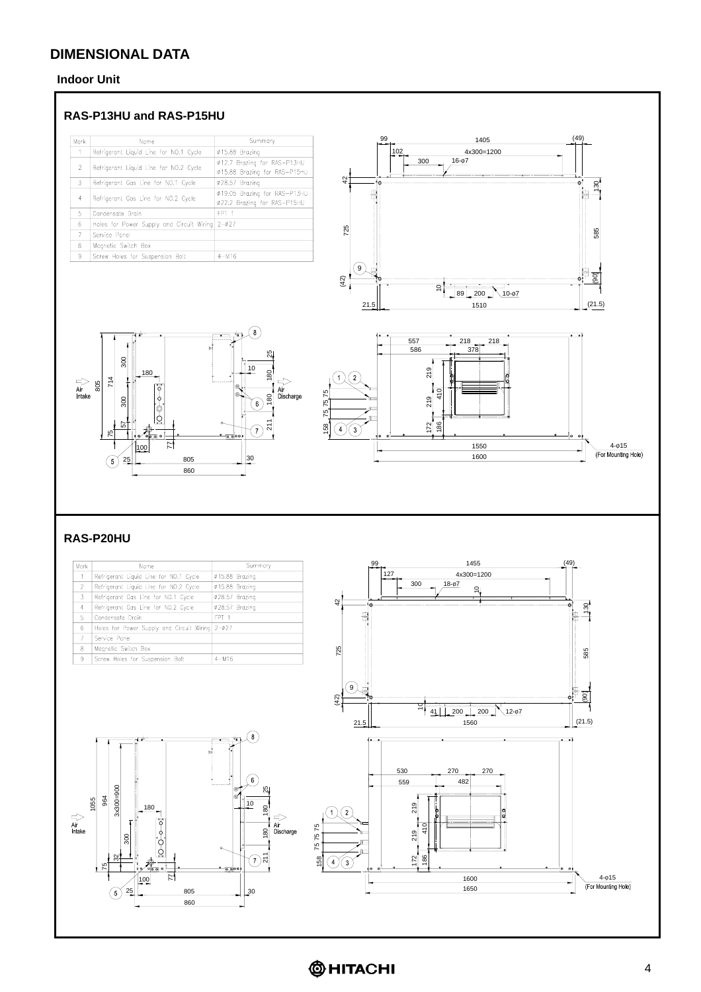#### **Indoor Unit**

#### **RAS-P13HU and RAS-P15HU**

| Mark                     | Name                                            | Summary                                                     |
|--------------------------|-------------------------------------------------|-------------------------------------------------------------|
|                          | Refrigerant Liquid Line for NO.1 Cycle          | Ø15.88 Brazina                                              |
| $\overline{\phantom{a}}$ | Refrigerant Liquid Line for NO.2 Cycle          | Ø12.7 Brazing for RAS-P13HU<br>Ø15.88 Brazing for RAS-P15HU |
| 3                        | Refrigerant Gas Line for NO.1 Cycle             | Ø28.57 Brazina                                              |
| 4                        | Refrigerant Gas Line for NO.2 Cycle             | 019.05 Brazing for RAS-P13HU<br>022.2 Brazing for RAS-P15HU |
| 5                        | Condensate Drain                                | FPT <sub>1</sub>                                            |
| 6                        | Holes for Power Supply and Circuit Wiring 2-027 |                                                             |
| 7                        | Service Ponel                                   |                                                             |
| 8                        | Magnetic Switch Box                             |                                                             |
| 9                        | Screw Holes for Suspension Bolt                 | $4 - M16$                                                   |







#### **RAS-P20HU**

|                             |                                                                                                                                                  |                                                                                                                     |                                                                | 1455<br>99                                                                                                                                          | (49)                                                                             |
|-----------------------------|--------------------------------------------------------------------------------------------------------------------------------------------------|---------------------------------------------------------------------------------------------------------------------|----------------------------------------------------------------|-----------------------------------------------------------------------------------------------------------------------------------------------------|----------------------------------------------------------------------------------|
| Mark                        | Name                                                                                                                                             | Summary                                                                                                             |                                                                | 127                                                                                                                                                 |                                                                                  |
| $\overline{1}$              | Refrigerant Liquid Line for NO.1 Cycle                                                                                                           | 015.88 Brazing                                                                                                      |                                                                | 4x300=1200<br>$18 - 07$<br>300                                                                                                                      |                                                                                  |
| $\overline{2}$              | Refrigerant Liquid Line for NO.2 Cycle                                                                                                           | Ø15.88 Brazing                                                                                                      |                                                                | ۹,                                                                                                                                                  |                                                                                  |
| $\overline{3}$              | Refrigerant Gas Line for NO.1 Cycle                                                                                                              | 028.57 Brazing                                                                                                      | 42                                                             |                                                                                                                                                     |                                                                                  |
| $\overline{4}$              | Refrigerant Gas Line for NO.2 Cycle                                                                                                              | 028.57 Brazing                                                                                                      |                                                                |                                                                                                                                                     | $\mathcal{S}$                                                                    |
| 5                           | Condensate Drain                                                                                                                                 | FPT <sub>1</sub>                                                                                                    | ₿                                                              |                                                                                                                                                     | 團                                                                                |
| $6\phantom{.}6$             | Holes for Power Supply and Circuit Wiring 2-027                                                                                                  |                                                                                                                     |                                                                |                                                                                                                                                     |                                                                                  |
| $\overline{7}$              | Service Panel                                                                                                                                    |                                                                                                                     |                                                                |                                                                                                                                                     |                                                                                  |
| 8                           | Magnetic Switch Box                                                                                                                              |                                                                                                                     | 725                                                            |                                                                                                                                                     | $\frac{85}{2}$                                                                   |
| -9                          | Screw Holes for Suspension Bolt                                                                                                                  | $4 - M16$                                                                                                           |                                                                |                                                                                                                                                     |                                                                                  |
| $\Rightarrow$ Air<br>Intake | xī<br>3x300=900<br>$\frac{964}{5}$<br>1055<br>180<br>300<br>ļδ<br>೫<br>$\mathbb{Z}$<br>00.00<br>N<br>100<br>805<br>25<br>$\left[5\right]$<br>860 | 8<br>mental control<br>6<br>o.<br>10<br>180<br>$\Rightarrow$<br>Air<br>Discharge<br>180<br>īζ<br>7)<br>-6.000<br>30 | ໌9ົ<br>(42)<br>21.5<br>2<br>7575<br>5 <sup>1</sup><br>158<br>3 | $\bar{\mathsf{S}}^+$<br>200<br>200<br>$12 - 67$<br>41<br>1560<br>530<br>270<br>270<br>482<br>559<br>219<br>410<br>219<br>186<br>172<br>1600<br>1650 | F.<br>$\overline{90}$<br>(21.5)<br>$\bullet$<br>$4 - 015$<br>(For Mounting Hole) |

**@HITACHI**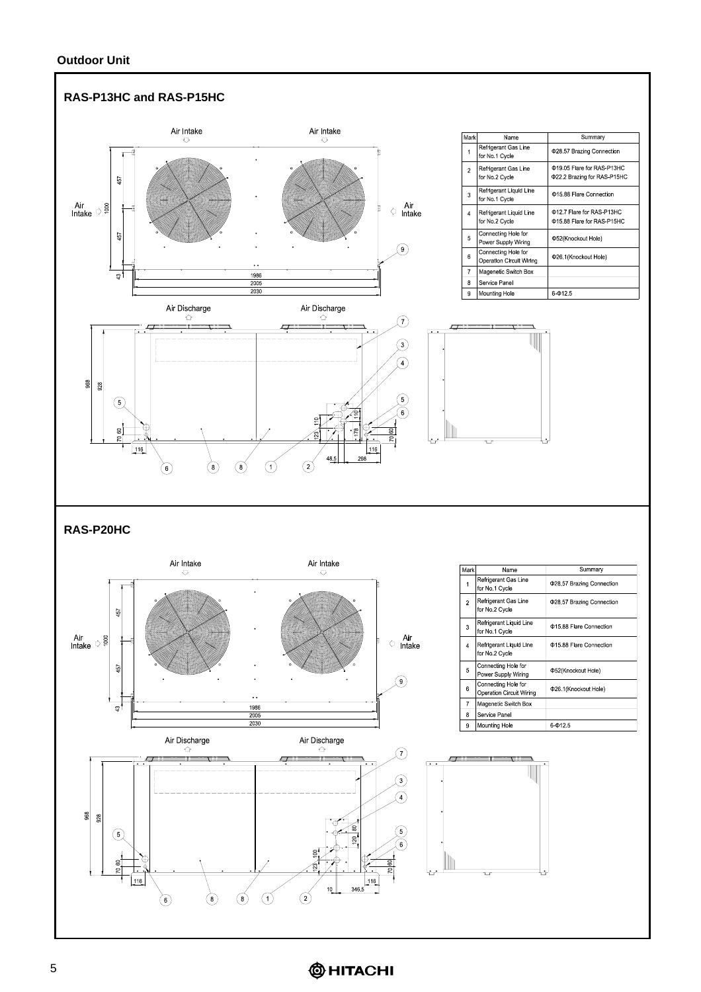#### **Outdoor Unit**



## **@HITACHI**